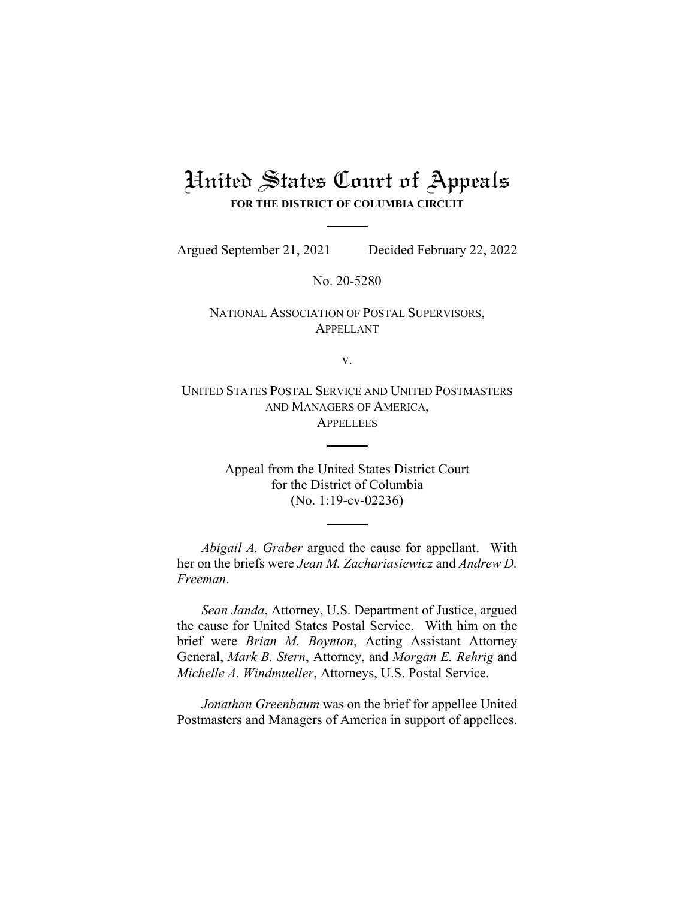# United States Court of Appeals **FOR THE DISTRICT OF COLUMBIA CIRCUIT**

Argued September 21, 2021 Decided February 22, 2022

No. 20-5280

NATIONAL ASSOCIATION OF POSTAL SUPERVISORS, APPELLANT

v.

UNITED STATES POSTAL SERVICE AND UNITED POSTMASTERS AND MANAGERS OF AMERICA, **APPELLEES** 

> Appeal from the United States District Court for the District of Columbia (No. 1:19-cv-02236)

*Abigail A. Graber* argued the cause for appellant. With her on the briefs were *Jean M. Zachariasiewicz* and *Andrew D. Freeman*.

*Sean Janda*, Attorney, U.S. Department of Justice, argued the cause for United States Postal Service. With him on the brief were *Brian M. Boynton*, Acting Assistant Attorney General, *Mark B. Stern*, Attorney, and *Morgan E. Rehrig* and *Michelle A. Windmueller*, Attorneys, U.S. Postal Service.

*Jonathan Greenbaum* was on the brief for appellee United Postmasters and Managers of America in support of appellees.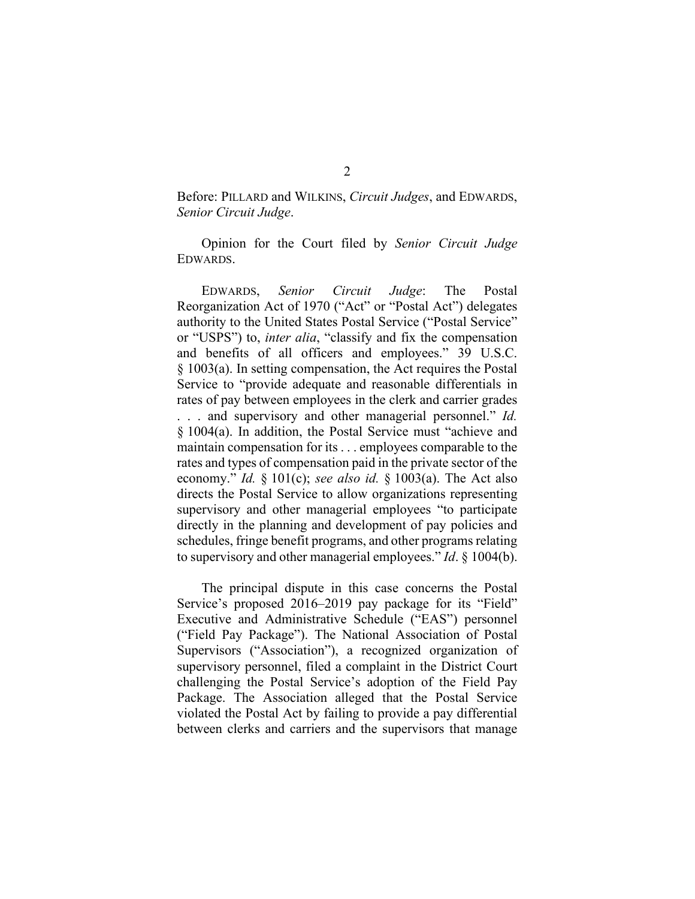# Before: PILLARD and WILKINS, *Circuit Judges*, and EDWARDS, *Senior Circuit Judge*.

Opinion for the Court filed by *Senior Circuit Judge*  EDWARDS.

EDWARDS, *Senior Circuit Judge*: The Postal Reorganization Act of 1970 ("Act" or "Postal Act") delegates authority to the United States Postal Service ("Postal Service" or "USPS") to, *inter alia*, "classify and fix the compensation and benefits of all officers and employees." 39 U.S.C. § 1003(a). In setting compensation, the Act requires the Postal Service to "provide adequate and reasonable differentials in rates of pay between employees in the clerk and carrier grades . . . and supervisory and other managerial personnel." *Id.* § 1004(a). In addition, the Postal Service must "achieve and maintain compensation for its . . . employees comparable to the rates and types of compensation paid in the private sector of the economy." *Id.* § 101(c); *see also id.* § 1003(a). The Act also directs the Postal Service to allow organizations representing supervisory and other managerial employees "to participate directly in the planning and development of pay policies and schedules, fringe benefit programs, and other programs relating to supervisory and other managerial employees." *Id*. § 1004(b).

The principal dispute in this case concerns the Postal Service's proposed 2016–2019 pay package for its "Field" Executive and Administrative Schedule ("EAS") personnel ("Field Pay Package"). The National Association of Postal Supervisors ("Association"), a recognized organization of supervisory personnel, filed a complaint in the District Court challenging the Postal Service's adoption of the Field Pay Package. The Association alleged that the Postal Service violated the Postal Act by failing to provide a pay differential between clerks and carriers and the supervisors that manage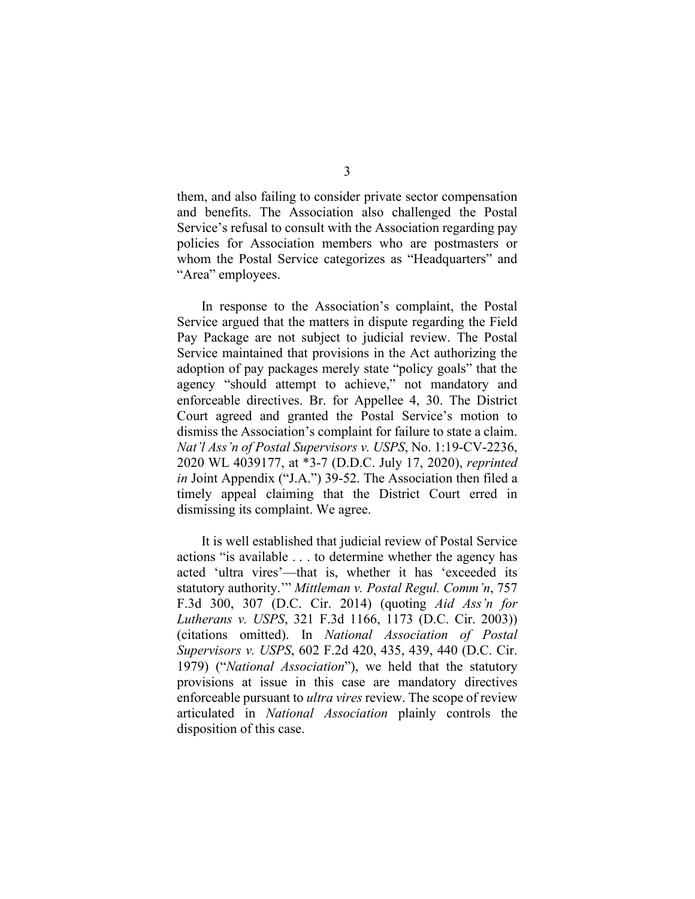them, and also failing to consider private sector compensation and benefits. The Association also challenged the Postal Service's refusal to consult with the Association regarding pay policies for Association members who are postmasters or whom the Postal Service categorizes as "Headquarters" and "Area" employees.

In response to the Association's complaint, the Postal Service argued that the matters in dispute regarding the Field Pay Package are not subject to judicial review. The Postal Service maintained that provisions in the Act authorizing the adoption of pay packages merely state "policy goals" that the agency "should attempt to achieve," not mandatory and enforceable directives. Br. for Appellee 4, 30. The District Court agreed and granted the Postal Service's motion to dismiss the Association's complaint for failure to state a claim. *Nat'l Ass'n of Postal Supervisors v. USPS*, No. 1:19-CV-2236, 2020 WL 4039177, at \*3-7 (D.D.C. July 17, 2020), *reprinted in* Joint Appendix ("J.A.") 39-52. The Association then filed a timely appeal claiming that the District Court erred in dismissing its complaint. We agree.

It is well established that judicial review of Postal Service actions "is available . . . to determine whether the agency has acted 'ultra vires'—that is, whether it has 'exceeded its statutory authority.'" *Mittleman v. Postal Regul. Comm'n*, 757 F.3d 300, 307 (D.C. Cir. 2014) (quoting *Aid Ass'n for Lutherans v. USPS*, 321 F.3d 1166, 1173 (D.C. Cir. 2003)) (citations omitted). In *National Association of Postal Supervisors v. USPS*, 602 F.2d 420, 435, 439, 440 (D.C. Cir. 1979) ("*National Association*"), we held that the statutory provisions at issue in this case are mandatory directives enforceable pursuant to *ultra vires* review. The scope of review articulated in *National Association* plainly controls the disposition of this case.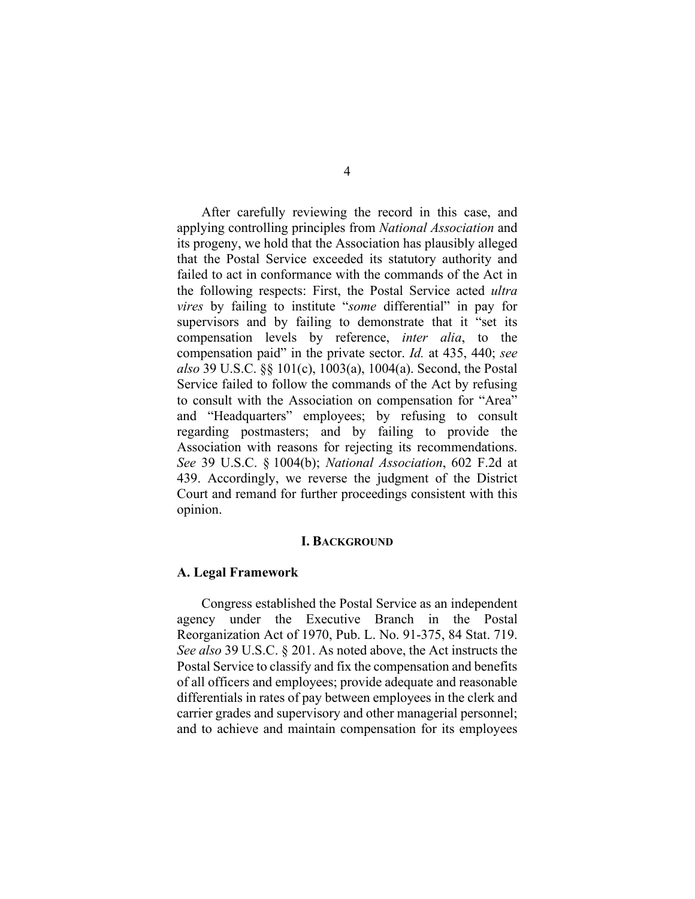After carefully reviewing the record in this case, and applying controlling principles from *National Association* and its progeny, we hold that the Association has plausibly alleged that the Postal Service exceeded its statutory authority and failed to act in conformance with the commands of the Act in the following respects: First, the Postal Service acted *ultra vires* by failing to institute "*some* differential" in pay for supervisors and by failing to demonstrate that it "set its compensation levels by reference, *inter alia*, to the compensation paid" in the private sector. *Id.* at 435, 440; *see also* 39 U.S.C. §§ 101(c), 1003(a), 1004(a). Second, the Postal Service failed to follow the commands of the Act by refusing to consult with the Association on compensation for "Area" and "Headquarters" employees; by refusing to consult regarding postmasters; and by failing to provide the Association with reasons for rejecting its recommendations. *See* 39 U.S.C. § 1004(b); *National Association*, 602 F.2d at 439. Accordingly, we reverse the judgment of the District Court and remand for further proceedings consistent with this opinion.

## **I. BACKGROUND**

#### **A. Legal Framework**

Congress established the Postal Service as an independent agency under the Executive Branch in the Postal Reorganization Act of 1970, Pub. L. No. 91-375, 84 Stat. 719. *See also* 39 U.S.C. § 201. As noted above, the Act instructs the Postal Service to classify and fix the compensation and benefits of all officers and employees; provide adequate and reasonable differentials in rates of pay between employees in the clerk and carrier grades and supervisory and other managerial personnel; and to achieve and maintain compensation for its employees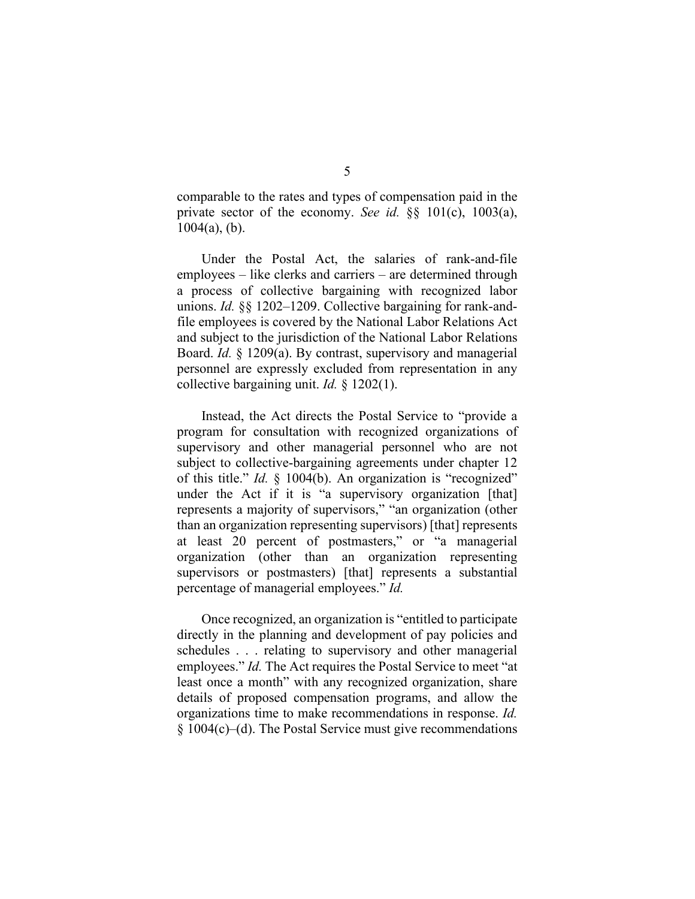comparable to the rates and types of compensation paid in the private sector of the economy. *See id.* §§ 101(c), 1003(a),  $1004(a)$ , (b).

Under the Postal Act, the salaries of rank-and-file employees – like clerks and carriers – are determined through a process of collective bargaining with recognized labor unions. *Id.* §§ 1202–1209. Collective bargaining for rank-andfile employees is covered by the National Labor Relations Act and subject to the jurisdiction of the National Labor Relations Board. *Id.* § 1209(a). By contrast, supervisory and managerial personnel are expressly excluded from representation in any collective bargaining unit. *Id.* § 1202(1).

Instead, the Act directs the Postal Service to "provide a program for consultation with recognized organizations of supervisory and other managerial personnel who are not subject to collective-bargaining agreements under chapter 12 of this title." *Id.* § 1004(b). An organization is "recognized" under the Act if it is "a supervisory organization [that] represents a majority of supervisors," "an organization (other than an organization representing supervisors) [that] represents at least 20 percent of postmasters," or "a managerial organization (other than an organization representing supervisors or postmasters) [that] represents a substantial percentage of managerial employees." *Id.*

Once recognized, an organization is "entitled to participate directly in the planning and development of pay policies and schedules . . . relating to supervisory and other managerial employees." *Id.* The Act requires the Postal Service to meet "at least once a month" with any recognized organization, share details of proposed compensation programs, and allow the organizations time to make recommendations in response. *Id.* § 1004(c)–(d). The Postal Service must give recommendations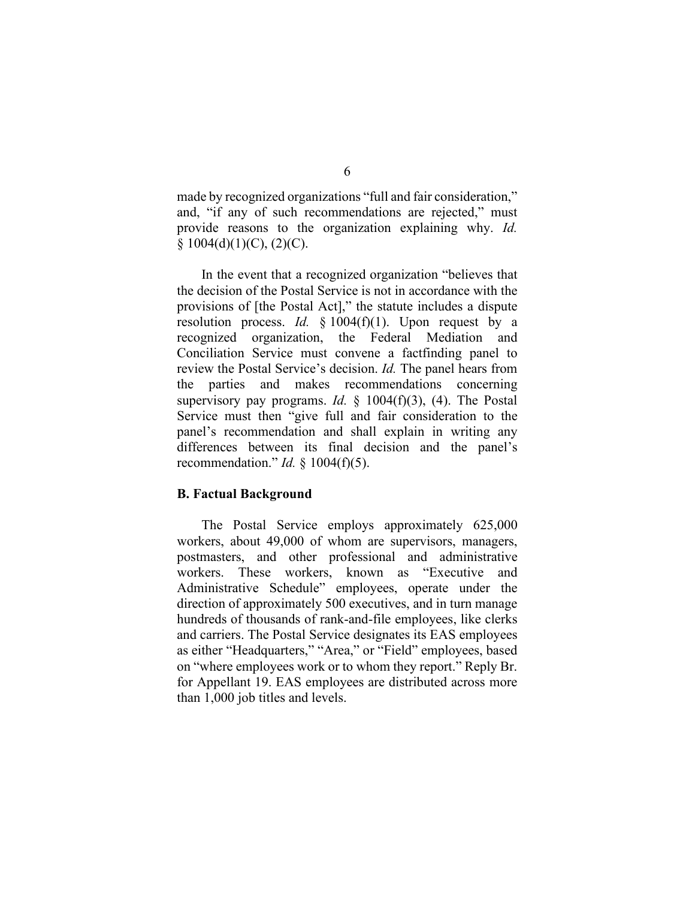made by recognized organizations "full and fair consideration," and, "if any of such recommendations are rejected," must provide reasons to the organization explaining why. *Id.*  $§ 1004(d)(1)(C), (2)(C).$ 

In the event that a recognized organization "believes that the decision of the Postal Service is not in accordance with the provisions of [the Postal Act]," the statute includes a dispute resolution process. *Id.* § 1004(f)(1). Upon request by a recognized organization, the Federal Mediation and Conciliation Service must convene a factfinding panel to review the Postal Service's decision. *Id.* The panel hears from the parties and makes recommendations concerning supervisory pay programs. *Id.* § 1004(f)(3), (4). The Postal Service must then "give full and fair consideration to the panel's recommendation and shall explain in writing any differences between its final decision and the panel's recommendation." *Id.* § 1004(f)(5).

## **B. Factual Background**

The Postal Service employs approximately 625,000 workers, about 49,000 of whom are supervisors, managers, postmasters, and other professional and administrative workers. These workers, known as "Executive and Administrative Schedule" employees, operate under the direction of approximately 500 executives, and in turn manage hundreds of thousands of rank-and-file employees, like clerks and carriers. The Postal Service designates its EAS employees as either "Headquarters," "Area," or "Field" employees, based on "where employees work or to whom they report." Reply Br. for Appellant 19. EAS employees are distributed across more than 1,000 job titles and levels.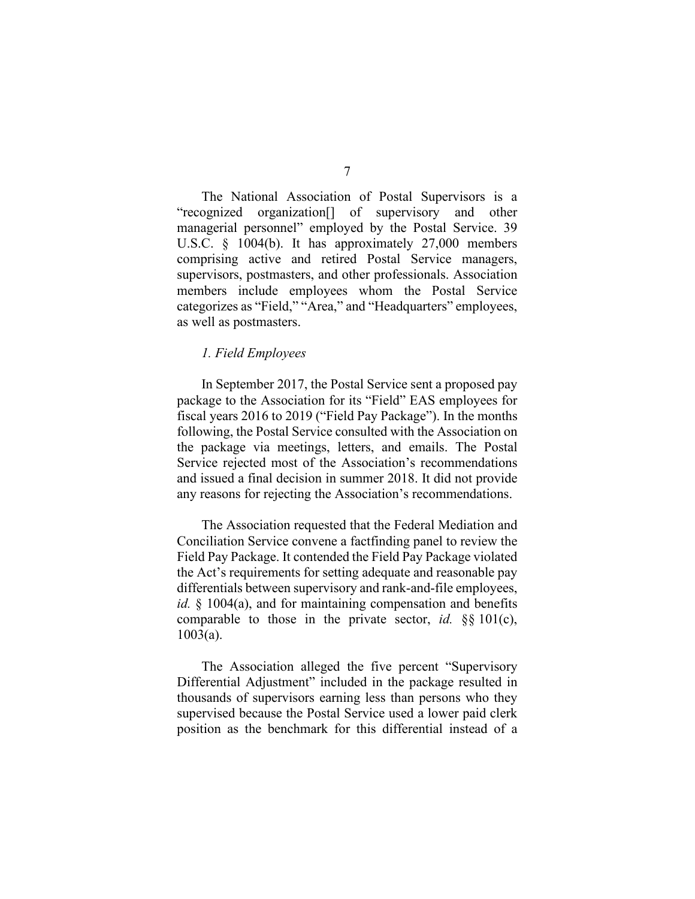The National Association of Postal Supervisors is a "recognized organization[] of supervisory and other managerial personnel" employed by the Postal Service. 39 U.S.C. § 1004(b). It has approximately 27,000 members comprising active and retired Postal Service managers, supervisors, postmasters, and other professionals. Association members include employees whom the Postal Service categorizes as "Field," "Area," and "Headquarters" employees, as well as postmasters.

## *1. Field Employees*

In September 2017, the Postal Service sent a proposed pay package to the Association for its "Field" EAS employees for fiscal years 2016 to 2019 ("Field Pay Package"). In the months following, the Postal Service consulted with the Association on the package via meetings, letters, and emails. The Postal Service rejected most of the Association's recommendations and issued a final decision in summer 2018. It did not provide any reasons for rejecting the Association's recommendations.

The Association requested that the Federal Mediation and Conciliation Service convene a factfinding panel to review the Field Pay Package. It contended the Field Pay Package violated the Act's requirements for setting adequate and reasonable pay differentials between supervisory and rank-and-file employees, *id.* § 1004(a), and for maintaining compensation and benefits comparable to those in the private sector, *id.* §§ 101(c), 1003(a).

The Association alleged the five percent "Supervisory Differential Adjustment" included in the package resulted in thousands of supervisors earning less than persons who they supervised because the Postal Service used a lower paid clerk position as the benchmark for this differential instead of a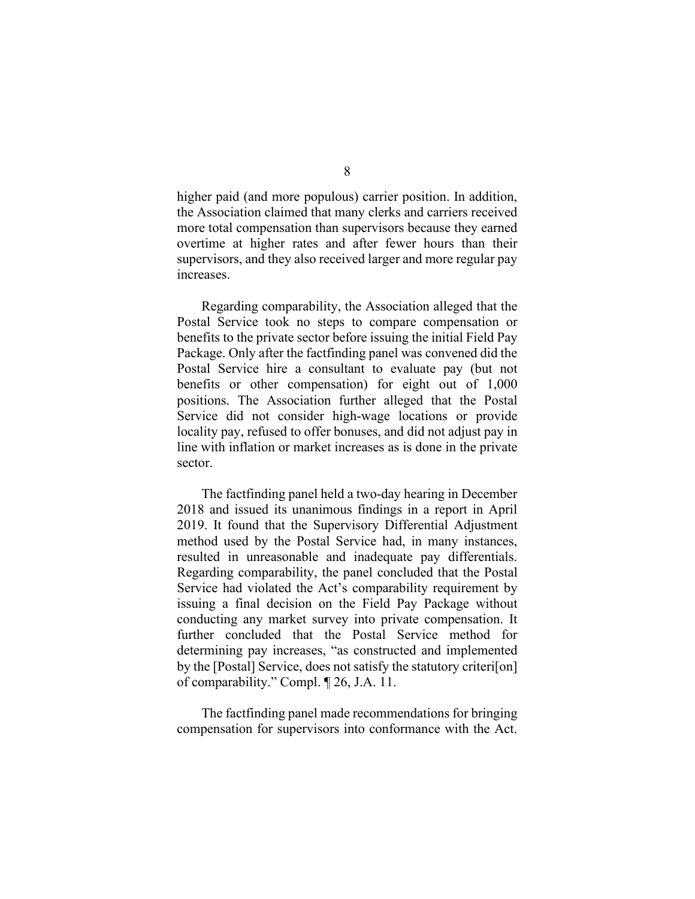higher paid (and more populous) carrier position. In addition, the Association claimed that many clerks and carriers received more total compensation than supervisors because they earned overtime at higher rates and after fewer hours than their supervisors, and they also received larger and more regular pay increases.

Regarding comparability, the Association alleged that the Postal Service took no steps to compare compensation or benefits to the private sector before issuing the initial Field Pay Package. Only after the factfinding panel was convened did the Postal Service hire a consultant to evaluate pay (but not benefits or other compensation) for eight out of 1,000 positions. The Association further alleged that the Postal Service did not consider high-wage locations or provide locality pay, refused to offer bonuses, and did not adjust pay in line with inflation or market increases as is done in the private sector.

The factfinding panel held a two-day hearing in December 2018 and issued its unanimous findings in a report in April 2019. It found that the Supervisory Differential Adjustment method used by the Postal Service had, in many instances, resulted in unreasonable and inadequate pay differentials. Regarding comparability, the panel concluded that the Postal Service had violated the Act's comparability requirement by issuing a final decision on the Field Pay Package without conducting any market survey into private compensation. It further concluded that the Postal Service method for determining pay increases, "as constructed and implemented by the [Postal] Service, does not satisfy the statutory criteri[on] of comparability." Compl. ¶ 26, J.A. 11.

The factfinding panel made recommendations for bringing compensation for supervisors into conformance with the Act.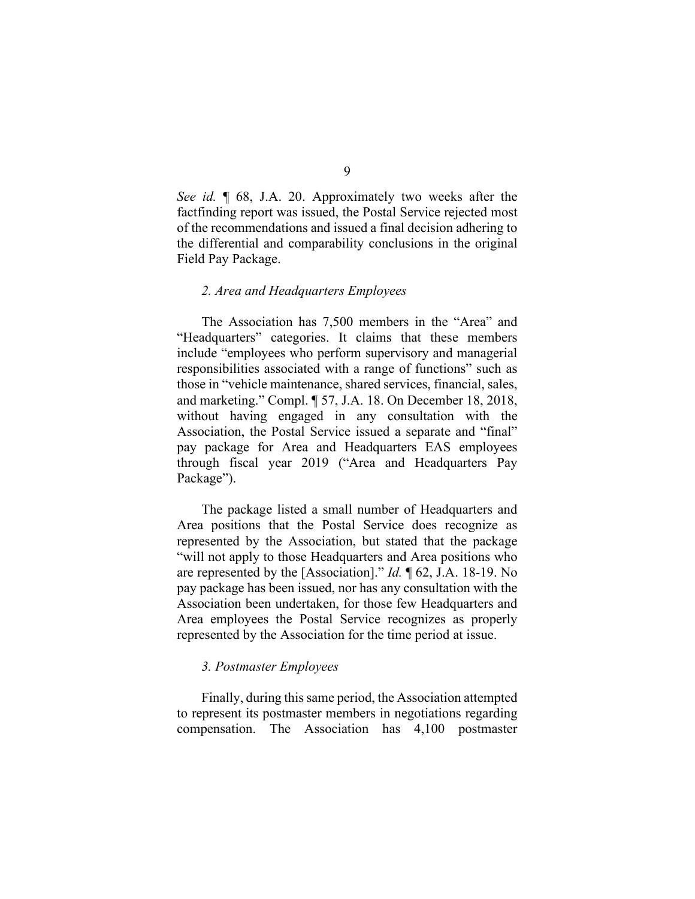*See id.* ¶ 68, J.A. 20. Approximately two weeks after the factfinding report was issued, the Postal Service rejected most of the recommendations and issued a final decision adhering to the differential and comparability conclusions in the original Field Pay Package.

## *2. Area and Headquarters Employees*

The Association has 7,500 members in the "Area" and "Headquarters" categories. It claims that these members include "employees who perform supervisory and managerial responsibilities associated with a range of functions" such as those in "vehicle maintenance, shared services, financial, sales, and marketing." Compl. ¶ 57, J.A. 18. On December 18, 2018, without having engaged in any consultation with the Association, the Postal Service issued a separate and "final" pay package for Area and Headquarters EAS employees through fiscal year 2019 ("Area and Headquarters Pay Package").

The package listed a small number of Headquarters and Area positions that the Postal Service does recognize as represented by the Association, but stated that the package "will not apply to those Headquarters and Area positions who are represented by the [Association]." *Id.* ¶ 62, J.A. 18-19. No pay package has been issued, nor has any consultation with the Association been undertaken, for those few Headquarters and Area employees the Postal Service recognizes as properly represented by the Association for the time period at issue.

## *3. Postmaster Employees*

Finally, during this same period, the Association attempted to represent its postmaster members in negotiations regarding compensation. The Association has 4,100 postmaster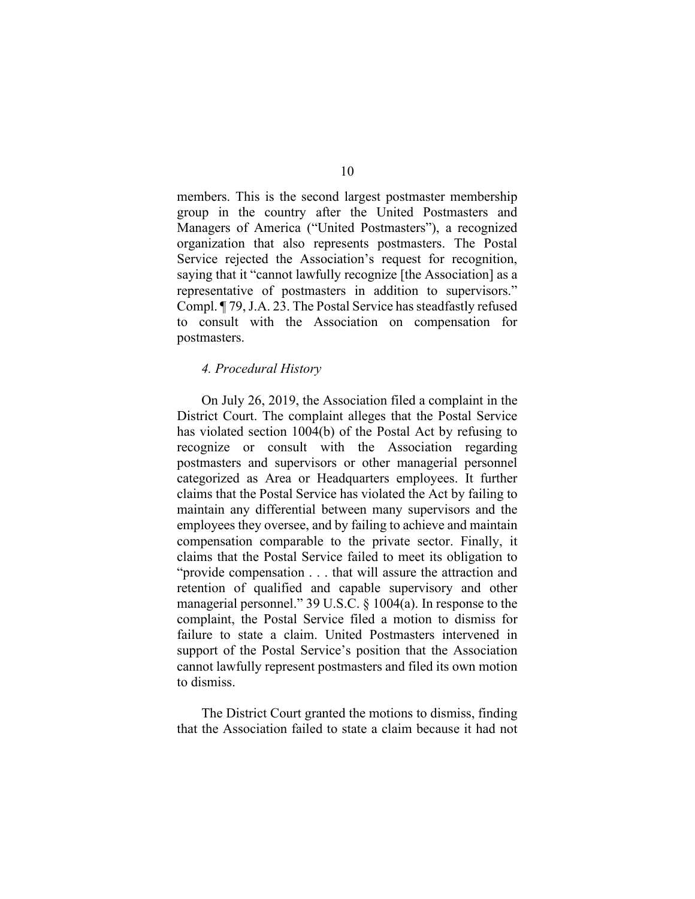members. This is the second largest postmaster membership group in the country after the United Postmasters and Managers of America ("United Postmasters"), a recognized organization that also represents postmasters. The Postal Service rejected the Association's request for recognition, saying that it "cannot lawfully recognize [the Association] as a representative of postmasters in addition to supervisors." Compl. ¶ 79, J.A. 23. The Postal Service has steadfastly refused to consult with the Association on compensation for postmasters.

## *4. Procedural History*

On July 26, 2019, the Association filed a complaint in the District Court. The complaint alleges that the Postal Service has violated section 1004(b) of the Postal Act by refusing to recognize or consult with the Association regarding postmasters and supervisors or other managerial personnel categorized as Area or Headquarters employees. It further claims that the Postal Service has violated the Act by failing to maintain any differential between many supervisors and the employees they oversee, and by failing to achieve and maintain compensation comparable to the private sector. Finally, it claims that the Postal Service failed to meet its obligation to "provide compensation . . . that will assure the attraction and retention of qualified and capable supervisory and other managerial personnel." 39 U.S.C. § 1004(a). In response to the complaint, the Postal Service filed a motion to dismiss for failure to state a claim. United Postmasters intervened in support of the Postal Service's position that the Association cannot lawfully represent postmasters and filed its own motion to dismiss.

The District Court granted the motions to dismiss, finding that the Association failed to state a claim because it had not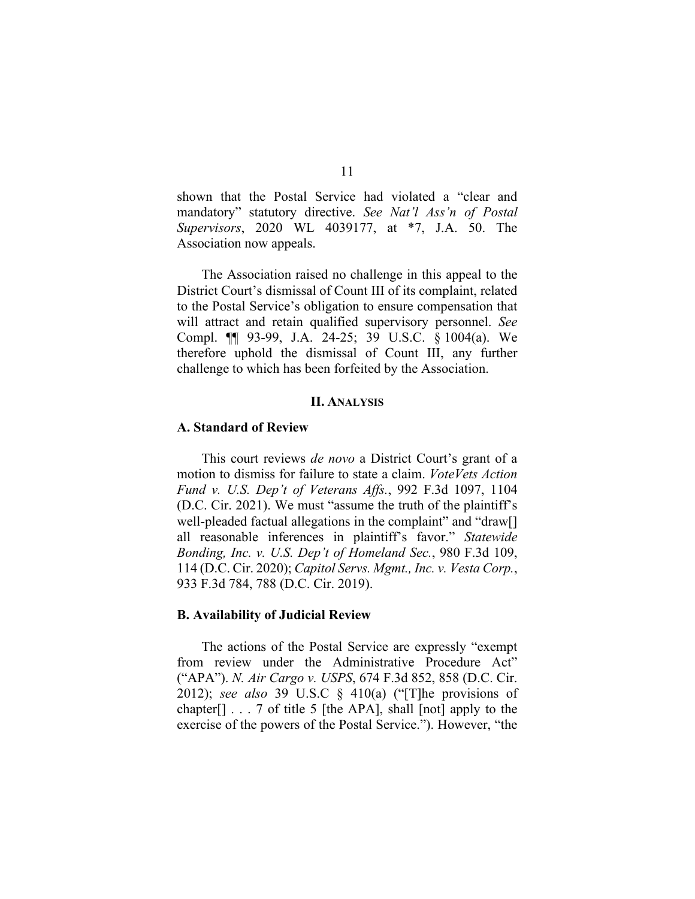shown that the Postal Service had violated a "clear and mandatory" statutory directive. *See Nat'l Ass'n of Postal Supervisors*, 2020 WL 4039177, at \*7, J.A. 50. The Association now appeals.

The Association raised no challenge in this appeal to the District Court's dismissal of Count III of its complaint, related to the Postal Service's obligation to ensure compensation that will attract and retain qualified supervisory personnel. *See*  Compl. ¶¶ 93-99, J.A. 24-25; 39 U.S.C. § 1004(a). We therefore uphold the dismissal of Count III, any further challenge to which has been forfeited by the Association.

## **II. ANALYSIS**

## **A. Standard of Review**

This court reviews *de novo* a District Court's grant of a motion to dismiss for failure to state a claim. *VoteVets Action Fund v. U.S. Dep't of Veterans Affs.*, 992 F.3d 1097, 1104 (D.C. Cir. 2021). We must "assume the truth of the plaintiff's well-pleaded factual allegations in the complaint" and "draw[] all reasonable inferences in plaintiff's favor." *Statewide Bonding, Inc. v. U.S. Dep't of Homeland Sec.*, 980 F.3d 109, 114 (D.C. Cir. 2020); *Capitol Servs. Mgmt., Inc. v. Vesta Corp.*, 933 F.3d 784, 788 (D.C. Cir. 2019).

## **B. Availability of Judicial Review**

The actions of the Postal Service are expressly "exempt from review under the Administrative Procedure Act" ("APA"). *N. Air Cargo v. USPS*, 674 F.3d 852, 858 (D.C. Cir. 2012); *see also* 39 U.S.C § 410(a) ("[T]he provisions of chapter $[$ ]  $\ldots$  7 of title 5 [the APA], shall [not] apply to the exercise of the powers of the Postal Service."). However, "the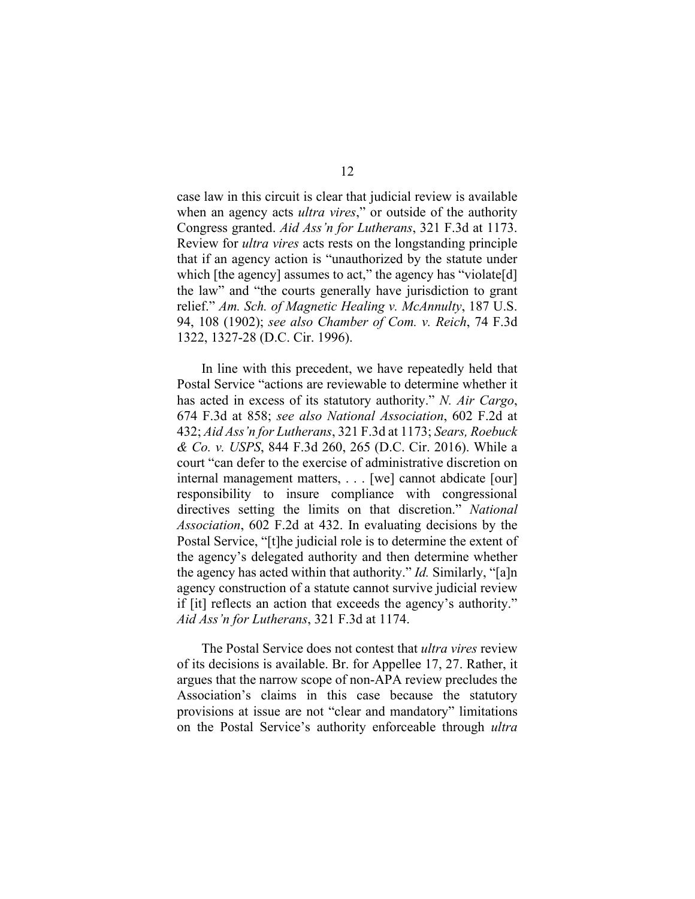case law in this circuit is clear that judicial review is available when an agency acts *ultra vires*," or outside of the authority Congress granted. *Aid Ass'n for Lutherans*, 321 F.3d at 1173. Review for *ultra vires* acts rests on the longstanding principle that if an agency action is "unauthorized by the statute under which [the agency] assumes to act," the agency has "violate[d] the law" and "the courts generally have jurisdiction to grant relief." *Am. Sch. of Magnetic Healing v. McAnnulty*, 187 U.S. 94, 108 (1902); *see also Chamber of Com. v. Reich*, 74 F.3d 1322, 1327-28 (D.C. Cir. 1996).

In line with this precedent, we have repeatedly held that Postal Service "actions are reviewable to determine whether it has acted in excess of its statutory authority." *N. Air Cargo*, 674 F.3d at 858; *see also National Association*, 602 F.2d at 432; *Aid Ass'n for Lutherans*, 321 F.3d at 1173; *Sears, Roebuck & Co. v. USPS*, 844 F.3d 260, 265 (D.C. Cir. 2016). While a court "can defer to the exercise of administrative discretion on internal management matters, . . . [we] cannot abdicate [our] responsibility to insure compliance with congressional directives setting the limits on that discretion." *National Association*, 602 F.2d at 432. In evaluating decisions by the Postal Service, "[t]he judicial role is to determine the extent of the agency's delegated authority and then determine whether the agency has acted within that authority." *Id.* Similarly, "[a]n agency construction of a statute cannot survive judicial review if [it] reflects an action that exceeds the agency's authority." *Aid Ass'n for Lutherans*, 321 F.3d at 1174.

The Postal Service does not contest that *ultra vires* review of its decisions is available. Br. for Appellee 17, 27. Rather, it argues that the narrow scope of non-APA review precludes the Association's claims in this case because the statutory provisions at issue are not "clear and mandatory" limitations on the Postal Service's authority enforceable through *ultra*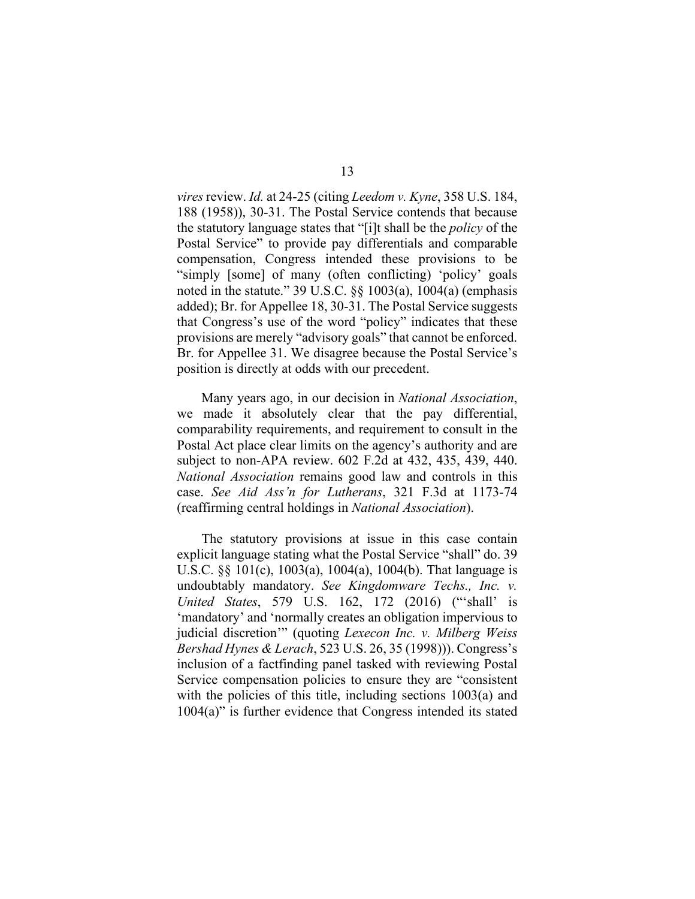*vires* review. *Id.* at 24-25 (citing *Leedom v. Kyne*, 358 U.S. 184, 188 (1958)), 30-31. The Postal Service contends that because the statutory language states that "[i]t shall be the *policy* of the Postal Service" to provide pay differentials and comparable compensation, Congress intended these provisions to be "simply [some] of many (often conflicting) 'policy' goals noted in the statute." 39 U.S.C. §§ 1003(a), 1004(a) (emphasis added); Br. for Appellee 18, 30-31. The Postal Service suggests that Congress's use of the word "policy" indicates that these provisions are merely "advisory goals" that cannot be enforced. Br. for Appellee 31. We disagree because the Postal Service's position is directly at odds with our precedent.

Many years ago, in our decision in *National Association*, we made it absolutely clear that the pay differential, comparability requirements, and requirement to consult in the Postal Act place clear limits on the agency's authority and are subject to non-APA review. 602 F.2d at 432, 435, 439, 440. *National Association* remains good law and controls in this case. *See Aid Ass'n for Lutherans*, 321 F.3d at 1173-74 (reaffirming central holdings in *National Association*).

The statutory provisions at issue in this case contain explicit language stating what the Postal Service "shall" do. 39 U.S.C. §§ 101(c), 1003(a), 1004(a), 1004(b). That language is undoubtably mandatory. *See Kingdomware Techs., Inc. v. United States*, 579 U.S. 162, 172 (2016) ("'shall' is 'mandatory' and 'normally creates an obligation impervious to judicial discretion'" (quoting *Lexecon Inc. v. Milberg Weiss Bershad Hynes & Lerach*, 523 U.S. 26, 35 (1998))). Congress's inclusion of a factfinding panel tasked with reviewing Postal Service compensation policies to ensure they are "consistent with the policies of this title, including sections 1003(a) and 1004(a)" is further evidence that Congress intended its stated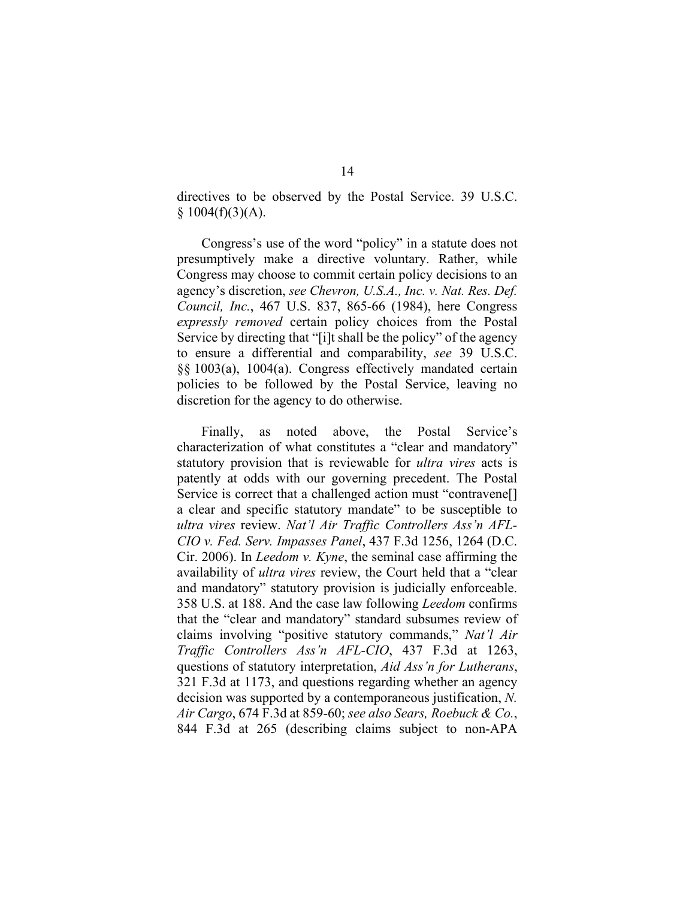directives to be observed by the Postal Service. 39 U.S.C.  $$1004(f)(3)(A).$ 

Congress's use of the word "policy" in a statute does not presumptively make a directive voluntary. Rather, while Congress may choose to commit certain policy decisions to an agency's discretion, *see Chevron, U.S.A., Inc. v. Nat. Res. Def. Council, Inc.*, 467 U.S. 837, 865-66 (1984), here Congress *expressly removed* certain policy choices from the Postal Service by directing that "[i]t shall be the policy" of the agency to ensure a differential and comparability, *see* 39 U.S.C. §§ 1003(a), 1004(a). Congress effectively mandated certain policies to be followed by the Postal Service, leaving no discretion for the agency to do otherwise.

Finally, as noted above, the Postal Service's characterization of what constitutes a "clear and mandatory" statutory provision that is reviewable for *ultra vires* acts is patently at odds with our governing precedent. The Postal Service is correct that a challenged action must "contravene[] a clear and specific statutory mandate" to be susceptible to *ultra vires* review. *Nat'l Air Traffic Controllers Ass'n AFL-CIO v. Fed. Serv. Impasses Panel*, 437 F.3d 1256, 1264 (D.C. Cir. 2006). In *Leedom v. Kyne*, the seminal case affirming the availability of *ultra vires* review, the Court held that a "clear and mandatory" statutory provision is judicially enforceable. 358 U.S. at 188. And the case law following *Leedom* confirms that the "clear and mandatory" standard subsumes review of claims involving "positive statutory commands," *Nat'l Air Traffic Controllers Ass'n AFL-CIO*, 437 F.3d at 1263, questions of statutory interpretation, *Aid Ass'n for Lutherans*, 321 F.3d at 1173, and questions regarding whether an agency decision was supported by a contemporaneous justification, *N. Air Cargo*, 674 F.3d at 859-60; *see also Sears, Roebuck & Co.*, 844 F.3d at 265 (describing claims subject to non-APA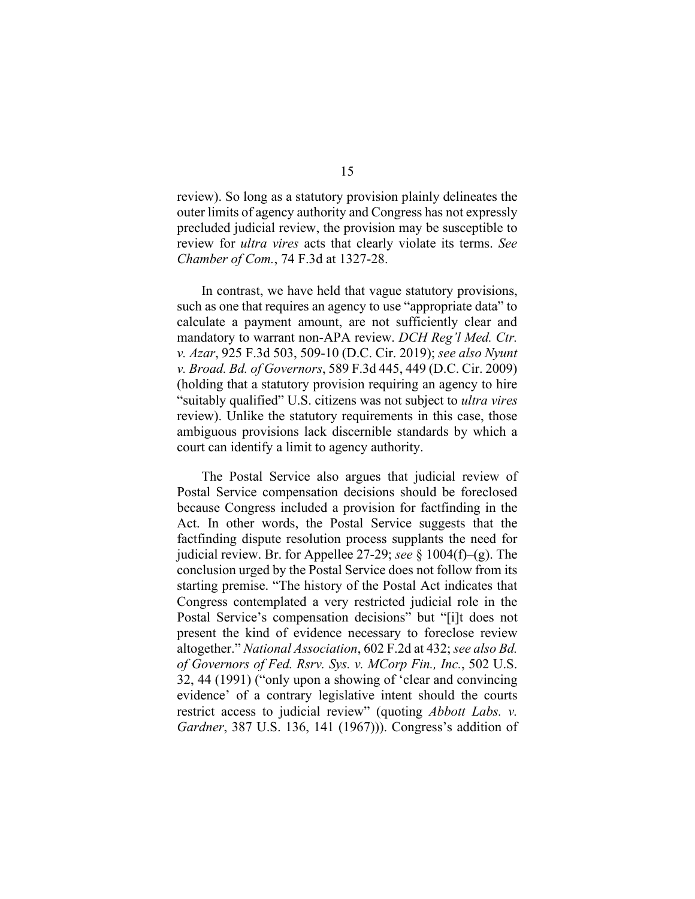review). So long as a statutory provision plainly delineates the outer limits of agency authority and Congress has not expressly precluded judicial review, the provision may be susceptible to review for *ultra vires* acts that clearly violate its terms. *See Chamber of Com.*, 74 F.3d at 1327-28.

In contrast, we have held that vague statutory provisions, such as one that requires an agency to use "appropriate data" to calculate a payment amount, are not sufficiently clear and mandatory to warrant non-APA review. *DCH Reg'l Med. Ctr. v. Azar*, 925 F.3d 503, 509-10 (D.C. Cir. 2019); *see also Nyunt v. Broad. Bd. of Governors*, 589 F.3d 445, 449 (D.C. Cir. 2009) (holding that a statutory provision requiring an agency to hire "suitably qualified" U.S. citizens was not subject to *ultra vires* review). Unlike the statutory requirements in this case, those ambiguous provisions lack discernible standards by which a court can identify a limit to agency authority.

The Postal Service also argues that judicial review of Postal Service compensation decisions should be foreclosed because Congress included a provision for factfinding in the Act. In other words, the Postal Service suggests that the factfinding dispute resolution process supplants the need for judicial review. Br. for Appellee 27-29; *see* § 1004(f)–(g). The conclusion urged by the Postal Service does not follow from its starting premise. "The history of the Postal Act indicates that Congress contemplated a very restricted judicial role in the Postal Service's compensation decisions" but "[i]t does not present the kind of evidence necessary to foreclose review altogether." *National Association*, 602 F.2d at 432; *see also Bd. of Governors of Fed. Rsrv. Sys. v. MCorp Fin., Inc.*, 502 U.S. 32, 44 (1991) ("only upon a showing of 'clear and convincing evidence' of a contrary legislative intent should the courts restrict access to judicial review" (quoting *Abbott Labs. v. Gardner*, 387 U.S. 136, 141 (1967))). Congress's addition of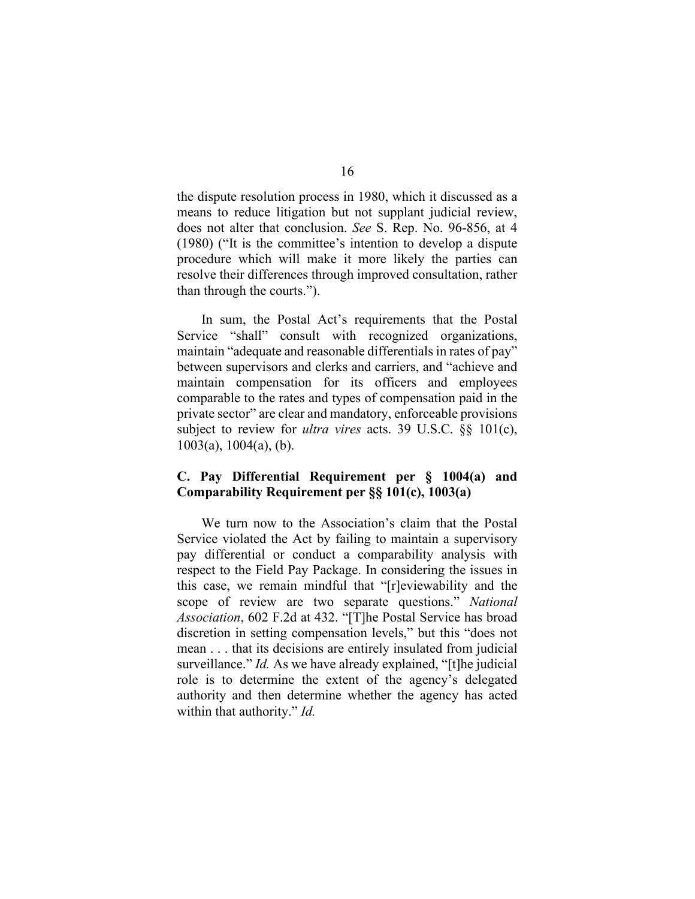the dispute resolution process in 1980, which it discussed as a means to reduce litigation but not supplant judicial review, does not alter that conclusion. *See* S. Rep. No. 96-856, at 4 (1980) ("It is the committee's intention to develop a dispute procedure which will make it more likely the parties can resolve their differences through improved consultation, rather than through the courts.").

In sum, the Postal Act's requirements that the Postal Service "shall" consult with recognized organizations, maintain "adequate and reasonable differentials in rates of pay" between supervisors and clerks and carriers, and "achieve and maintain compensation for its officers and employees comparable to the rates and types of compensation paid in the private sector" are clear and mandatory, enforceable provisions subject to review for *ultra vires* acts. 39 U.S.C. §§ 101(c), 1003(a), 1004(a), (b).

# **C. Pay Differential Requirement per § 1004(a) and Comparability Requirement per §§ 101(c), 1003(a)**

We turn now to the Association's claim that the Postal Service violated the Act by failing to maintain a supervisory pay differential or conduct a comparability analysis with respect to the Field Pay Package. In considering the issues in this case, we remain mindful that "[r]eviewability and the scope of review are two separate questions." *National Association*, 602 F.2d at 432. "[T]he Postal Service has broad discretion in setting compensation levels," but this "does not mean . . . that its decisions are entirely insulated from judicial surveillance." *Id.* As we have already explained, "[t]he judicial role is to determine the extent of the agency's delegated authority and then determine whether the agency has acted within that authority." *Id.*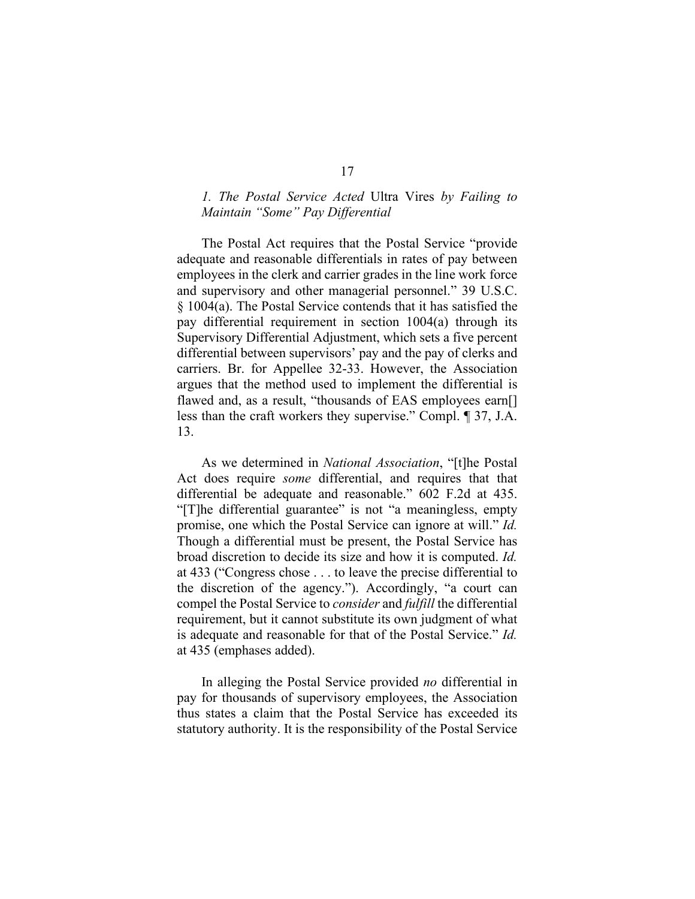# *1. The Postal Service Acted* Ultra Vires *by Failing to Maintain "Some" Pay Differential*

The Postal Act requires that the Postal Service "provide adequate and reasonable differentials in rates of pay between employees in the clerk and carrier grades in the line work force and supervisory and other managerial personnel." 39 U.S.C. § 1004(a). The Postal Service contends that it has satisfied the pay differential requirement in section 1004(a) through its Supervisory Differential Adjustment, which sets a five percent differential between supervisors' pay and the pay of clerks and carriers. Br. for Appellee 32-33. However, the Association argues that the method used to implement the differential is flawed and, as a result, "thousands of EAS employees earn[] less than the craft workers they supervise." Compl. ¶ 37, J.A. 13.

As we determined in *National Association*, "[t]he Postal Act does require *some* differential, and requires that that differential be adequate and reasonable." 602 F.2d at 435. "[T]he differential guarantee" is not "a meaningless, empty promise, one which the Postal Service can ignore at will." *Id.* Though a differential must be present, the Postal Service has broad discretion to decide its size and how it is computed. *Id.* at 433 ("Congress chose . . . to leave the precise differential to the discretion of the agency."). Accordingly, "a court can compel the Postal Service to *consider* and *fulfill* the differential requirement, but it cannot substitute its own judgment of what is adequate and reasonable for that of the Postal Service." *Id.* at 435 (emphases added).

In alleging the Postal Service provided *no* differential in pay for thousands of supervisory employees, the Association thus states a claim that the Postal Service has exceeded its statutory authority. It is the responsibility of the Postal Service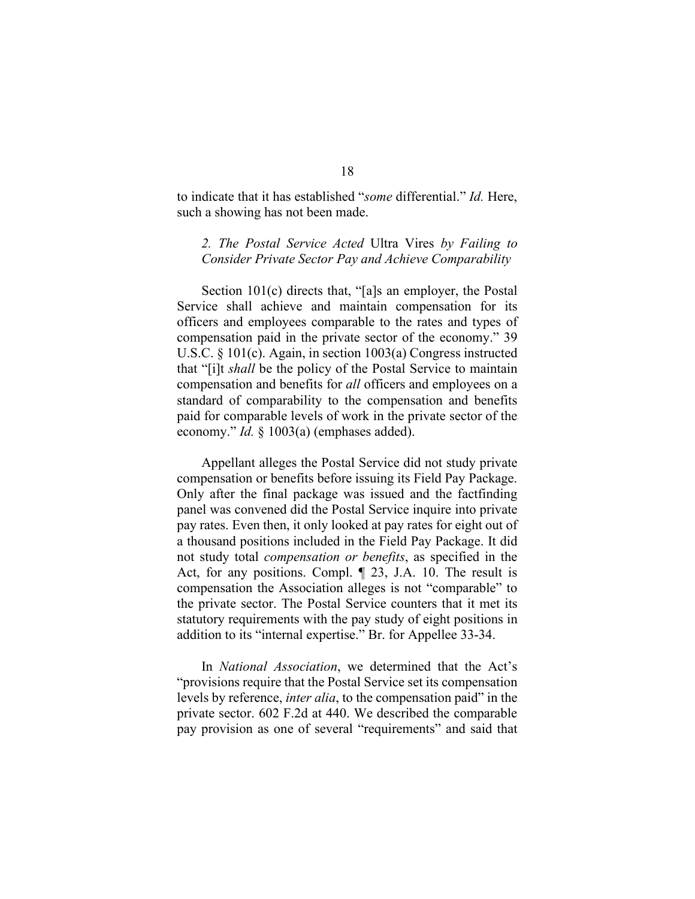to indicate that it has established "*some* differential." *Id.* Here, such a showing has not been made.

# *2. The Postal Service Acted* Ultra Vires *by Failing to Consider Private Sector Pay and Achieve Comparability*

Section 101(c) directs that, "[a]s an employer, the Postal Service shall achieve and maintain compensation for its officers and employees comparable to the rates and types of compensation paid in the private sector of the economy." 39 U.S.C. § 101(c). Again, in section 1003(a) Congress instructed that "[i]t *shall* be the policy of the Postal Service to maintain compensation and benefits for *all* officers and employees on a standard of comparability to the compensation and benefits paid for comparable levels of work in the private sector of the economy." *Id.* § 1003(a) (emphases added).

Appellant alleges the Postal Service did not study private compensation or benefits before issuing its Field Pay Package. Only after the final package was issued and the factfinding panel was convened did the Postal Service inquire into private pay rates. Even then, it only looked at pay rates for eight out of a thousand positions included in the Field Pay Package. It did not study total *compensation or benefits*, as specified in the Act, for any positions. Compl. ¶ 23, J.A. 10. The result is compensation the Association alleges is not "comparable" to the private sector. The Postal Service counters that it met its statutory requirements with the pay study of eight positions in addition to its "internal expertise." Br. for Appellee 33-34.

In *National Association*, we determined that the Act's "provisions require that the Postal Service set its compensation levels by reference, *inter alia*, to the compensation paid" in the private sector. 602 F.2d at 440. We described the comparable pay provision as one of several "requirements" and said that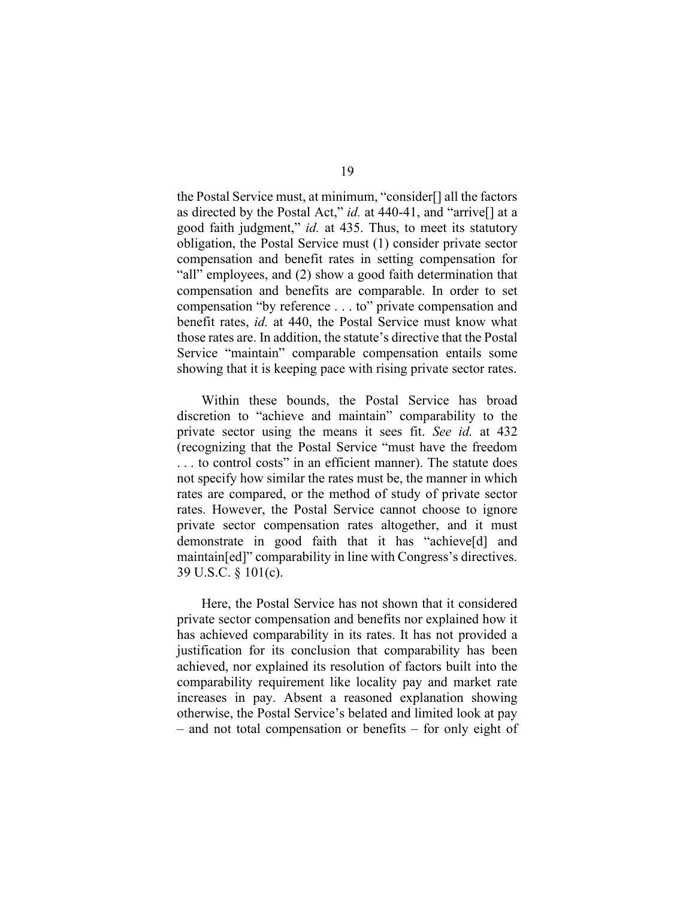the Postal Service must, at minimum, "consider[] all the factors as directed by the Postal Act," *id.* at 440-41, and "arrive[] at a good faith judgment," *id.* at 435. Thus, to meet its statutory obligation, the Postal Service must (1) consider private sector compensation and benefit rates in setting compensation for "all" employees, and (2) show a good faith determination that compensation and benefits are comparable. In order to set compensation "by reference . . . to" private compensation and benefit rates, *id.* at 440, the Postal Service must know what those rates are. In addition, the statute's directive that the Postal Service "maintain" comparable compensation entails some showing that it is keeping pace with rising private sector rates.

Within these bounds, the Postal Service has broad discretion to "achieve and maintain" comparability to the private sector using the means it sees fit. *See id.* at 432 (recognizing that the Postal Service "must have the freedom . . . to control costs" in an efficient manner). The statute does not specify how similar the rates must be, the manner in which rates are compared, or the method of study of private sector rates. However, the Postal Service cannot choose to ignore private sector compensation rates altogether, and it must demonstrate in good faith that it has "achieve[d] and maintain[ed]" comparability in line with Congress's directives. 39 U.S.C. § 101(c).

Here, the Postal Service has not shown that it considered private sector compensation and benefits nor explained how it has achieved comparability in its rates. It has not provided a justification for its conclusion that comparability has been achieved, nor explained its resolution of factors built into the comparability requirement like locality pay and market rate increases in pay. Absent a reasoned explanation showing otherwise, the Postal Service's belated and limited look at pay – and not total compensation or benefits – for only eight of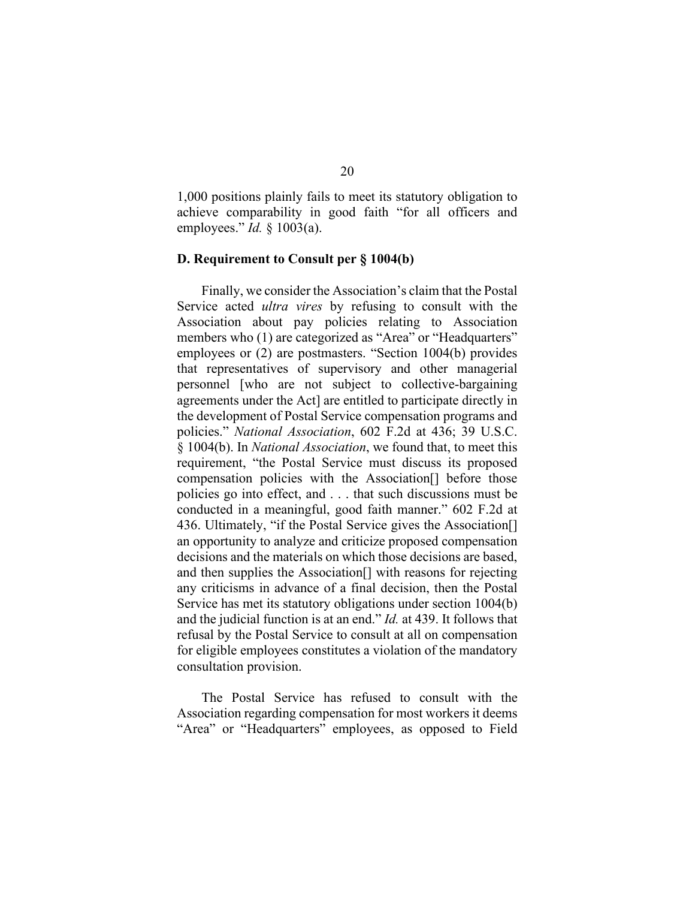1,000 positions plainly fails to meet its statutory obligation to achieve comparability in good faith "for all officers and employees." *Id.* § 1003(a).

## **D. Requirement to Consult per § 1004(b)**

Finally, we consider the Association's claim that the Postal Service acted *ultra vires* by refusing to consult with the Association about pay policies relating to Association members who (1) are categorized as "Area" or "Headquarters" employees or (2) are postmasters. "Section 1004(b) provides that representatives of supervisory and other managerial personnel [who are not subject to collective-bargaining agreements under the Act] are entitled to participate directly in the development of Postal Service compensation programs and policies." *National Association*, 602 F.2d at 436; 39 U.S.C. § 1004(b). In *National Association*, we found that, to meet this requirement, "the Postal Service must discuss its proposed compensation policies with the Association[] before those policies go into effect, and . . . that such discussions must be conducted in a meaningful, good faith manner." 602 F.2d at 436. Ultimately, "if the Postal Service gives the Association[] an opportunity to analyze and criticize proposed compensation decisions and the materials on which those decisions are based, and then supplies the Association[] with reasons for rejecting any criticisms in advance of a final decision, then the Postal Service has met its statutory obligations under section 1004(b) and the judicial function is at an end." *Id.* at 439. It follows that refusal by the Postal Service to consult at all on compensation for eligible employees constitutes a violation of the mandatory consultation provision.

The Postal Service has refused to consult with the Association regarding compensation for most workers it deems "Area" or "Headquarters" employees, as opposed to Field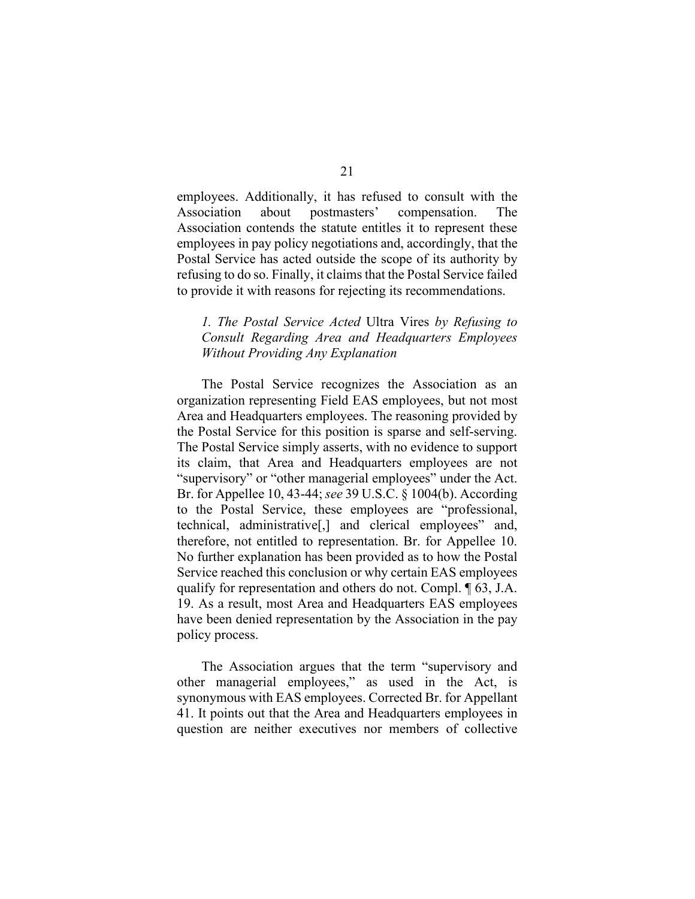employees. Additionally, it has refused to consult with the Association about postmasters' compensation. The Association contends the statute entitles it to represent these employees in pay policy negotiations and, accordingly, that the Postal Service has acted outside the scope of its authority by refusing to do so. Finally, it claims that the Postal Service failed to provide it with reasons for rejecting its recommendations.

# *1. The Postal Service Acted* Ultra Vires *by Refusing to Consult Regarding Area and Headquarters Employees Without Providing Any Explanation*

The Postal Service recognizes the Association as an organization representing Field EAS employees, but not most Area and Headquarters employees. The reasoning provided by the Postal Service for this position is sparse and self-serving. The Postal Service simply asserts, with no evidence to support its claim, that Area and Headquarters employees are not "supervisory" or "other managerial employees" under the Act. Br. for Appellee 10, 43-44; *see* 39 U.S.C. § 1004(b). According to the Postal Service, these employees are "professional, technical, administrative[,] and clerical employees" and, therefore, not entitled to representation. Br. for Appellee 10. No further explanation has been provided as to how the Postal Service reached this conclusion or why certain EAS employees qualify for representation and others do not. Compl. ¶ 63, J.A. 19. As a result, most Area and Headquarters EAS employees have been denied representation by the Association in the pay policy process.

The Association argues that the term "supervisory and other managerial employees," as used in the Act, is synonymous with EAS employees. Corrected Br. for Appellant 41. It points out that the Area and Headquarters employees in question are neither executives nor members of collective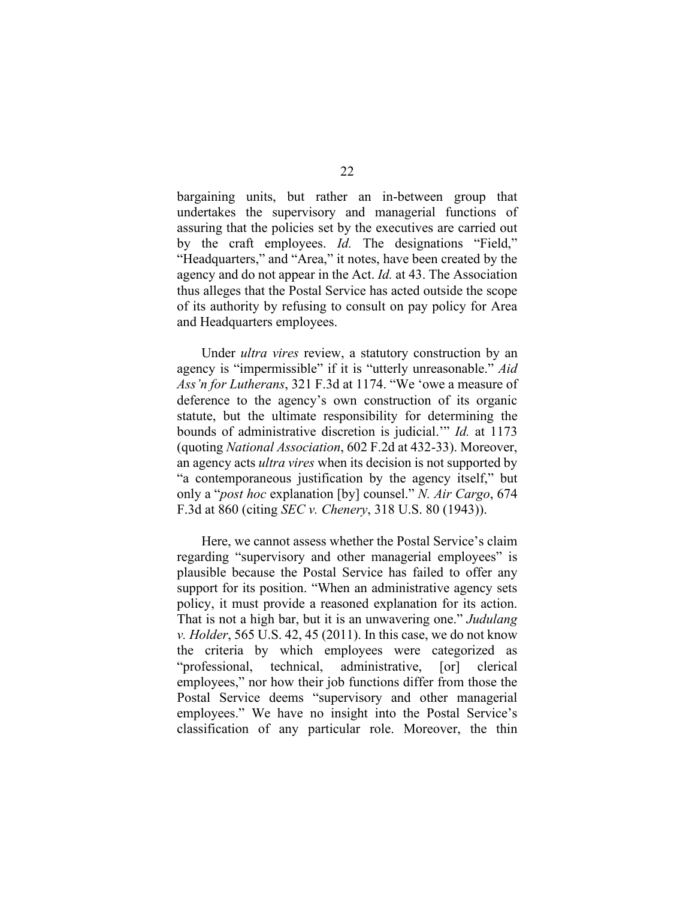bargaining units, but rather an in-between group that undertakes the supervisory and managerial functions of assuring that the policies set by the executives are carried out by the craft employees. *Id.* The designations "Field," "Headquarters," and "Area," it notes, have been created by the agency and do not appear in the Act. *Id.* at 43. The Association thus alleges that the Postal Service has acted outside the scope of its authority by refusing to consult on pay policy for Area and Headquarters employees.

Under *ultra vires* review, a statutory construction by an agency is "impermissible" if it is "utterly unreasonable." *Aid Ass'n for Lutherans*, 321 F.3d at 1174. "We 'owe a measure of deference to the agency's own construction of its organic statute, but the ultimate responsibility for determining the bounds of administrative discretion is judicial.'" *Id.* at 1173 (quoting *National Association*, 602 F.2d at 432-33). Moreover, an agency acts *ultra vires* when its decision is not supported by "a contemporaneous justification by the agency itself," but only a "*post hoc* explanation [by] counsel." *N. Air Cargo*, 674 F.3d at 860 (citing *SEC v. Chenery*, 318 U.S. 80 (1943)).

Here, we cannot assess whether the Postal Service's claim regarding "supervisory and other managerial employees" is plausible because the Postal Service has failed to offer any support for its position. "When an administrative agency sets policy, it must provide a reasoned explanation for its action. That is not a high bar, but it is an unwavering one." *Judulang v. Holder*, 565 U.S. 42, 45 (2011). In this case, we do not know the criteria by which employees were categorized as "professional, technical, administrative, [or] clerical employees," nor how their job functions differ from those the Postal Service deems "supervisory and other managerial employees." We have no insight into the Postal Service's classification of any particular role. Moreover, the thin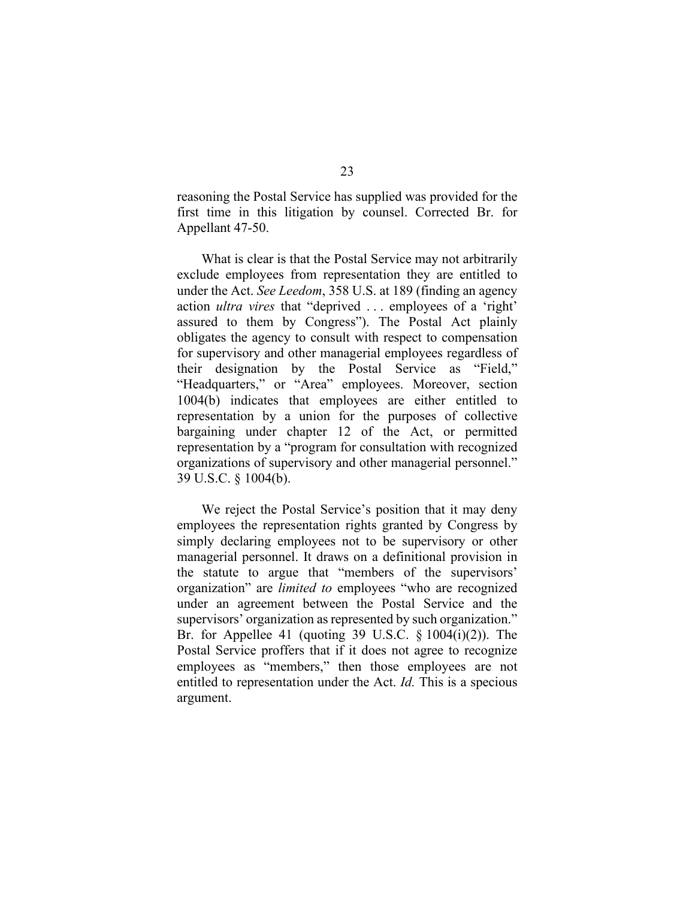reasoning the Postal Service has supplied was provided for the first time in this litigation by counsel. Corrected Br. for Appellant 47-50.

What is clear is that the Postal Service may not arbitrarily exclude employees from representation they are entitled to under the Act. *See Leedom*, 358 U.S. at 189 (finding an agency action *ultra vires* that "deprived . . . employees of a 'right' assured to them by Congress"). The Postal Act plainly obligates the agency to consult with respect to compensation for supervisory and other managerial employees regardless of their designation by the Postal Service as "Field," "Headquarters," or "Area" employees. Moreover, section 1004(b) indicates that employees are either entitled to representation by a union for the purposes of collective bargaining under chapter 12 of the Act, or permitted representation by a "program for consultation with recognized organizations of supervisory and other managerial personnel." 39 U.S.C. § 1004(b).

We reject the Postal Service's position that it may deny employees the representation rights granted by Congress by simply declaring employees not to be supervisory or other managerial personnel. It draws on a definitional provision in the statute to argue that "members of the supervisors' organization" are *limited to* employees "who are recognized under an agreement between the Postal Service and the supervisors' organization as represented by such organization." Br. for Appellee 41 (quoting 39 U.S.C.  $\S 1004(i)(2)$ ). The Postal Service proffers that if it does not agree to recognize employees as "members," then those employees are not entitled to representation under the Act. *Id.* This is a specious argument.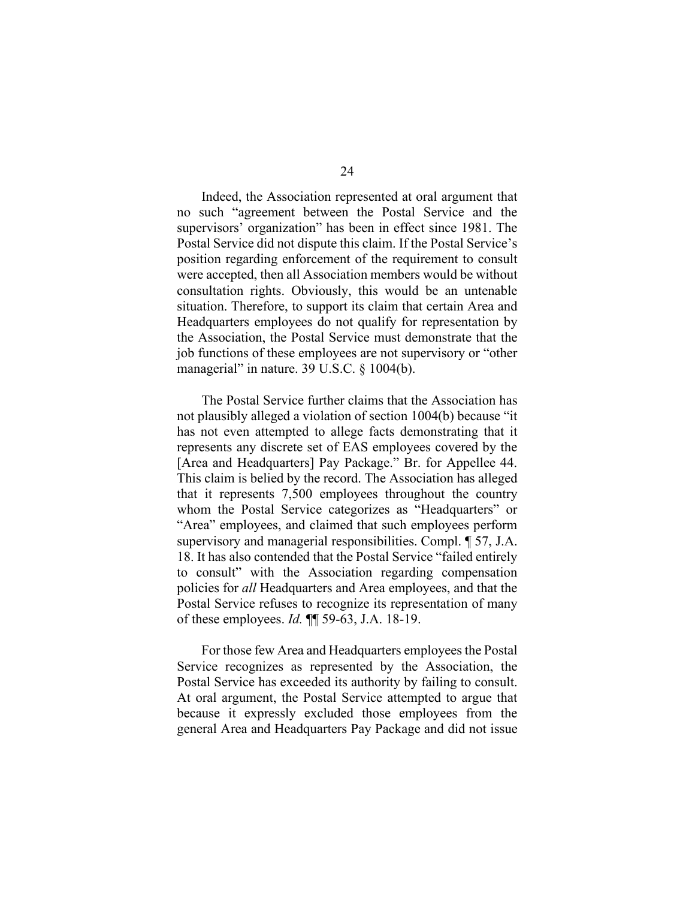Indeed, the Association represented at oral argument that no such "agreement between the Postal Service and the supervisors' organization" has been in effect since 1981. The Postal Service did not dispute this claim. If the Postal Service's position regarding enforcement of the requirement to consult were accepted, then all Association members would be without consultation rights. Obviously, this would be an untenable situation. Therefore, to support its claim that certain Area and Headquarters employees do not qualify for representation by the Association, the Postal Service must demonstrate that the job functions of these employees are not supervisory or "other managerial" in nature. 39 U.S.C. § 1004(b).

The Postal Service further claims that the Association has not plausibly alleged a violation of section 1004(b) because "it has not even attempted to allege facts demonstrating that it represents any discrete set of EAS employees covered by the [Area and Headquarters] Pay Package." Br. for Appellee 44. This claim is belied by the record. The Association has alleged that it represents 7,500 employees throughout the country whom the Postal Service categorizes as "Headquarters" or "Area" employees, and claimed that such employees perform supervisory and managerial responsibilities. Compl. ¶ 57, J.A. 18. It has also contended that the Postal Service "failed entirely to consult" with the Association regarding compensation policies for *all* Headquarters and Area employees, and that the Postal Service refuses to recognize its representation of many of these employees. *Id.* ¶¶ 59-63, J.A. 18-19.

For those few Area and Headquarters employees the Postal Service recognizes as represented by the Association, the Postal Service has exceeded its authority by failing to consult. At oral argument, the Postal Service attempted to argue that because it expressly excluded those employees from the general Area and Headquarters Pay Package and did not issue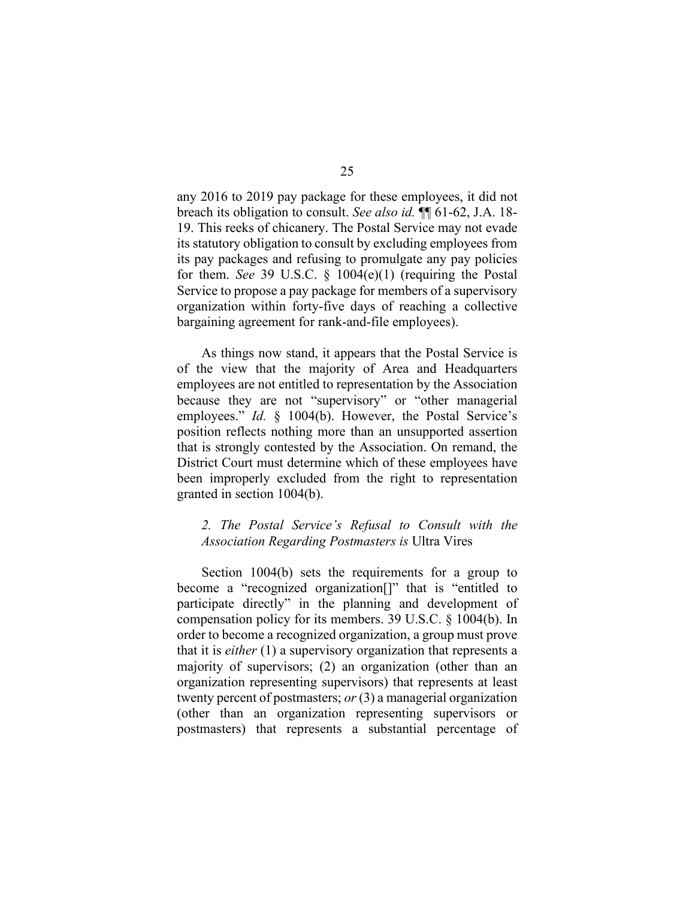any 2016 to 2019 pay package for these employees, it did not breach its obligation to consult. *See also id.* ¶¶ 61-62, J.A. 18- 19. This reeks of chicanery. The Postal Service may not evade its statutory obligation to consult by excluding employees from its pay packages and refusing to promulgate any pay policies for them. *See* 39 U.S.C. § 1004(e)(1) (requiring the Postal Service to propose a pay package for members of a supervisory organization within forty-five days of reaching a collective bargaining agreement for rank-and-file employees).

As things now stand, it appears that the Postal Service is of the view that the majority of Area and Headquarters employees are not entitled to representation by the Association because they are not "supervisory" or "other managerial employees." *Id.* § 1004(b). However, the Postal Service's position reflects nothing more than an unsupported assertion that is strongly contested by the Association. On remand, the District Court must determine which of these employees have been improperly excluded from the right to representation granted in section 1004(b).

# *2. The Postal Service's Refusal to Consult with the Association Regarding Postmasters is* Ultra Vires

Section 1004(b) sets the requirements for a group to become a "recognized organization[]" that is "entitled to participate directly" in the planning and development of compensation policy for its members. 39 U.S.C. § 1004(b). In order to become a recognized organization, a group must prove that it is *either* (1) a supervisory organization that represents a majority of supervisors; (2) an organization (other than an organization representing supervisors) that represents at least twenty percent of postmasters; *or* (3) a managerial organization (other than an organization representing supervisors or postmasters) that represents a substantial percentage of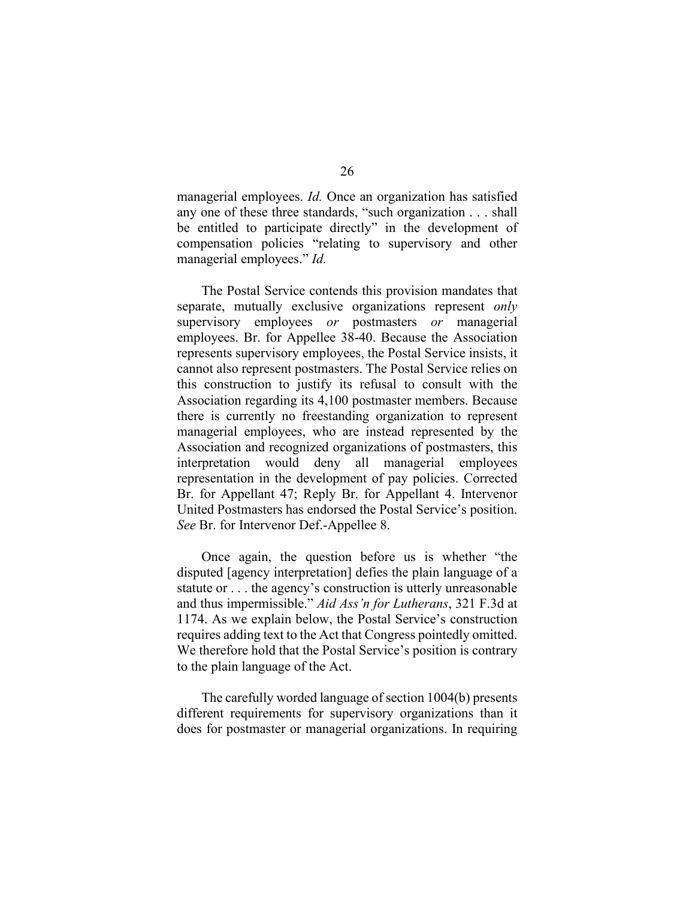managerial employees. *Id.* Once an organization has satisfied any one of these three standards, "such organization . . . shall be entitled to participate directly" in the development of compensation policies "relating to supervisory and other managerial employees." *Id.*

The Postal Service contends this provision mandates that separate, mutually exclusive organizations represent *only* supervisory employees *or* postmasters *or* managerial employees. Br. for Appellee 38-40. Because the Association represents supervisory employees, the Postal Service insists, it cannot also represent postmasters. The Postal Service relies on this construction to justify its refusal to consult with the Association regarding its 4,100 postmaster members. Because there is currently no freestanding organization to represent managerial employees, who are instead represented by the Association and recognized organizations of postmasters, this interpretation would deny all managerial employees representation in the development of pay policies. Corrected Br. for Appellant 47; Reply Br. for Appellant 4. Intervenor United Postmasters has endorsed the Postal Service's position. *See* Br. for Intervenor Def.-Appellee 8.

Once again, the question before us is whether "the disputed [agency interpretation] defies the plain language of a statute or . . . the agency's construction is utterly unreasonable and thus impermissible." *Aid Ass'n for Lutherans*, 321 F.3d at 1174. As we explain below, the Postal Service's construction requires adding text to the Act that Congress pointedly omitted. We therefore hold that the Postal Service's position is contrary to the plain language of the Act.

The carefully worded language of section 1004(b) presents different requirements for supervisory organizations than it does for postmaster or managerial organizations. In requiring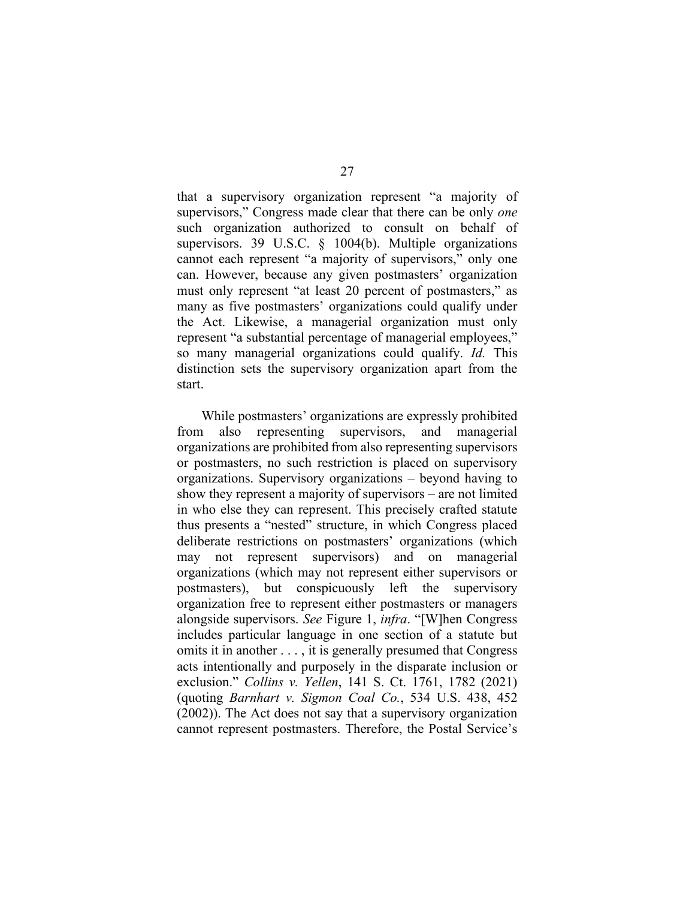that a supervisory organization represent "a majority of supervisors," Congress made clear that there can be only *one*  such organization authorized to consult on behalf of supervisors. 39 U.S.C. § 1004(b). Multiple organizations cannot each represent "a majority of supervisors," only one can. However, because any given postmasters' organization must only represent "at least 20 percent of postmasters," as many as five postmasters' organizations could qualify under the Act. Likewise, a managerial organization must only represent "a substantial percentage of managerial employees," so many managerial organizations could qualify. *Id.* This distinction sets the supervisory organization apart from the start.

While postmasters' organizations are expressly prohibited from also representing supervisors, and managerial organizations are prohibited from also representing supervisors or postmasters, no such restriction is placed on supervisory organizations. Supervisory organizations – beyond having to show they represent a majority of supervisors – are not limited in who else they can represent. This precisely crafted statute thus presents a "nested" structure, in which Congress placed deliberate restrictions on postmasters' organizations (which may not represent supervisors) and on managerial organizations (which may not represent either supervisors or postmasters), but conspicuously left the supervisory organization free to represent either postmasters or managers alongside supervisors. *See* Figure 1, *infra*. "[W]hen Congress includes particular language in one section of a statute but omits it in another . . . , it is generally presumed that Congress acts intentionally and purposely in the disparate inclusion or exclusion." *Collins v. Yellen*, 141 S. Ct. 1761, 1782 (2021) (quoting *Barnhart v. Sigmon Coal Co.*, 534 U.S. 438, 452 (2002)). The Act does not say that a supervisory organization cannot represent postmasters. Therefore, the Postal Service's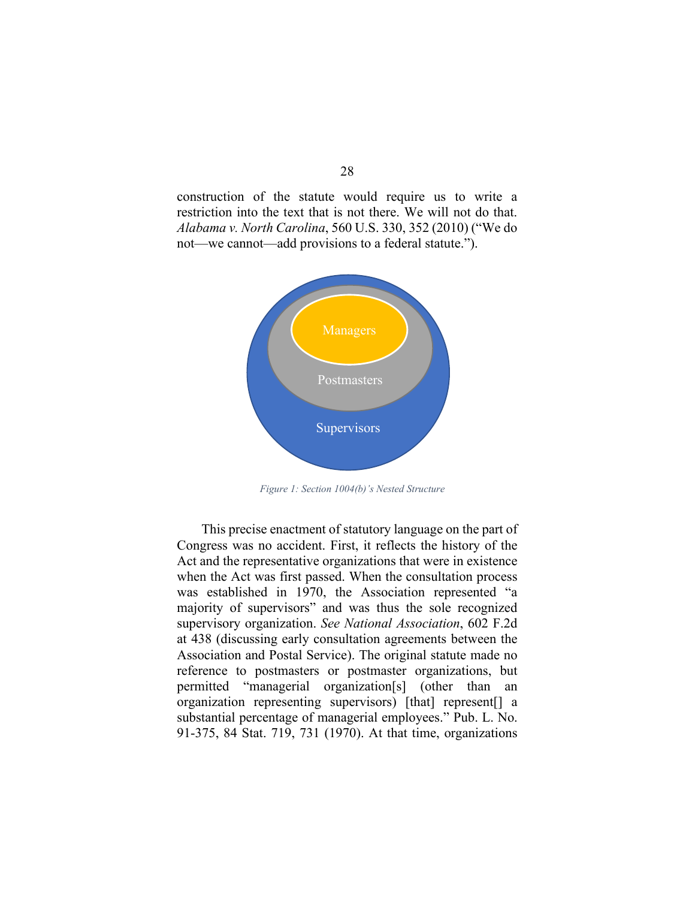construction of the statute would require us to write a restriction into the text that is not there. We will not do that. *Alabama v. North Carolina*, 560 U.S. 330, 352 (2010) ("We do not—we cannot—add provisions to a federal statute.").



*Figure 1: Section 1004(b)'s Nested Structure*

This precise enactment of statutory language on the part of Congress was no accident. First, it reflects the history of the Act and the representative organizations that were in existence when the Act was first passed. When the consultation process was established in 1970, the Association represented "a majority of supervisors" and was thus the sole recognized supervisory organization. *See National Association*, 602 F.2d at 438 (discussing early consultation agreements between the Association and Postal Service). The original statute made no reference to postmasters or postmaster organizations, but permitted "managerial organization[s] (other than an organization representing supervisors) [that] represent[] a substantial percentage of managerial employees." Pub. L. No. 91-375, 84 Stat. 719, 731 (1970). At that time, organizations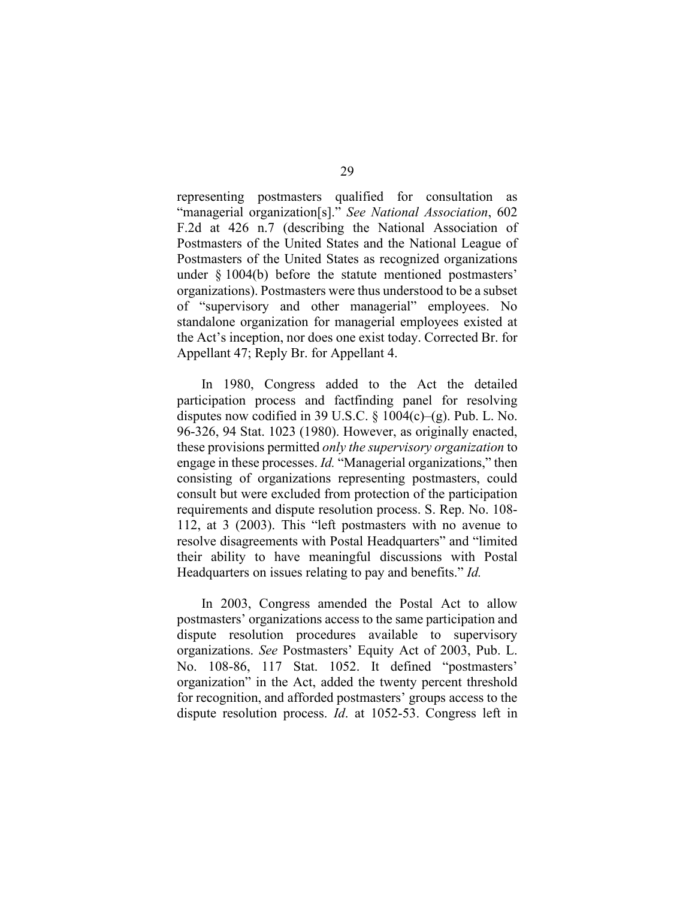representing postmasters qualified for consultation as "managerial organization[s]." *See National Association*, 602 F.2d at 426 n.7 (describing the National Association of Postmasters of the United States and the National League of Postmasters of the United States as recognized organizations under § 1004(b) before the statute mentioned postmasters' organizations). Postmasters were thus understood to be a subset of "supervisory and other managerial" employees. No standalone organization for managerial employees existed at the Act's inception, nor does one exist today. Corrected Br. for Appellant 47; Reply Br. for Appellant 4.

In 1980, Congress added to the Act the detailed participation process and factfinding panel for resolving disputes now codified in 39 U.S.C.  $\S$  1004(c)–(g). Pub. L. No. 96-326, 94 Stat. 1023 (1980). However, as originally enacted, these provisions permitted *only the supervisory organization* to engage in these processes. *Id.* "Managerial organizations," then consisting of organizations representing postmasters, could consult but were excluded from protection of the participation requirements and dispute resolution process. S. Rep. No. 108- 112, at 3 (2003). This "left postmasters with no avenue to resolve disagreements with Postal Headquarters" and "limited their ability to have meaningful discussions with Postal Headquarters on issues relating to pay and benefits." *Id.*

In 2003, Congress amended the Postal Act to allow postmasters' organizations access to the same participation and dispute resolution procedures available to supervisory organizations. *See* Postmasters' Equity Act of 2003, Pub. L. No. 108-86, 117 Stat. 1052. It defined "postmasters' organization" in the Act, added the twenty percent threshold for recognition, and afforded postmasters' groups access to the dispute resolution process. *Id*. at 1052-53. Congress left in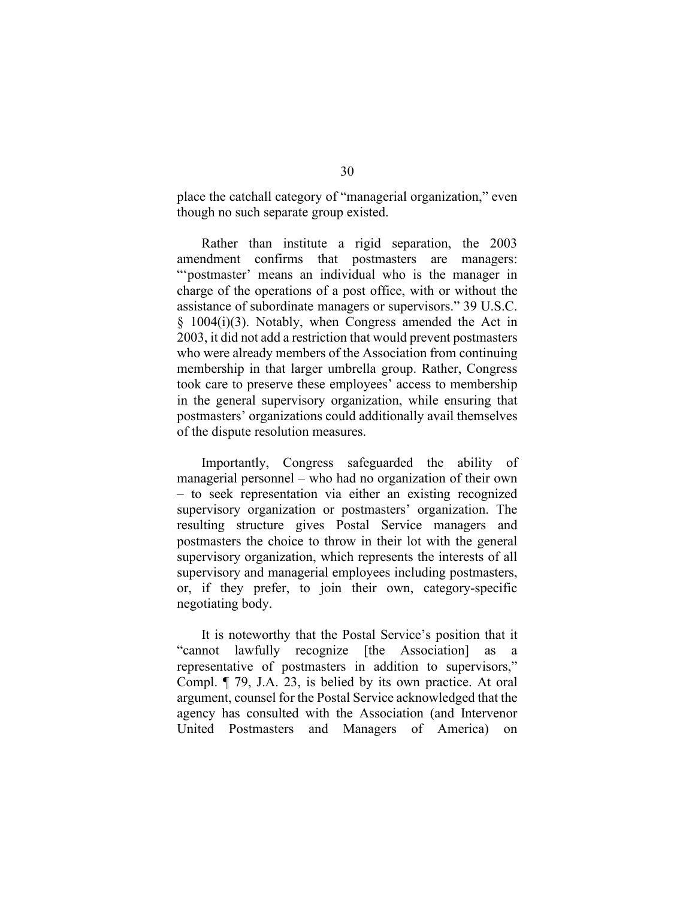place the catchall category of "managerial organization," even though no such separate group existed.

Rather than institute a rigid separation, the 2003 amendment confirms that postmasters are managers: "'postmaster' means an individual who is the manager in charge of the operations of a post office, with or without the assistance of subordinate managers or supervisors." 39 U.S.C. § 1004(i)(3). Notably, when Congress amended the Act in 2003, it did not add a restriction that would prevent postmasters who were already members of the Association from continuing membership in that larger umbrella group. Rather, Congress took care to preserve these employees' access to membership in the general supervisory organization, while ensuring that postmasters' organizations could additionally avail themselves of the dispute resolution measures.

Importantly, Congress safeguarded the ability of managerial personnel – who had no organization of their own – to seek representation via either an existing recognized supervisory organization or postmasters' organization. The resulting structure gives Postal Service managers and postmasters the choice to throw in their lot with the general supervisory organization, which represents the interests of all supervisory and managerial employees including postmasters, or, if they prefer, to join their own, category-specific negotiating body.

It is noteworthy that the Postal Service's position that it "cannot lawfully recognize [the Association] as representative of postmasters in addition to supervisors," Compl. ¶ 79, J.A. 23, is belied by its own practice. At oral argument, counsel for the Postal Service acknowledged that the agency has consulted with the Association (and Intervenor United Postmasters and Managers of America) on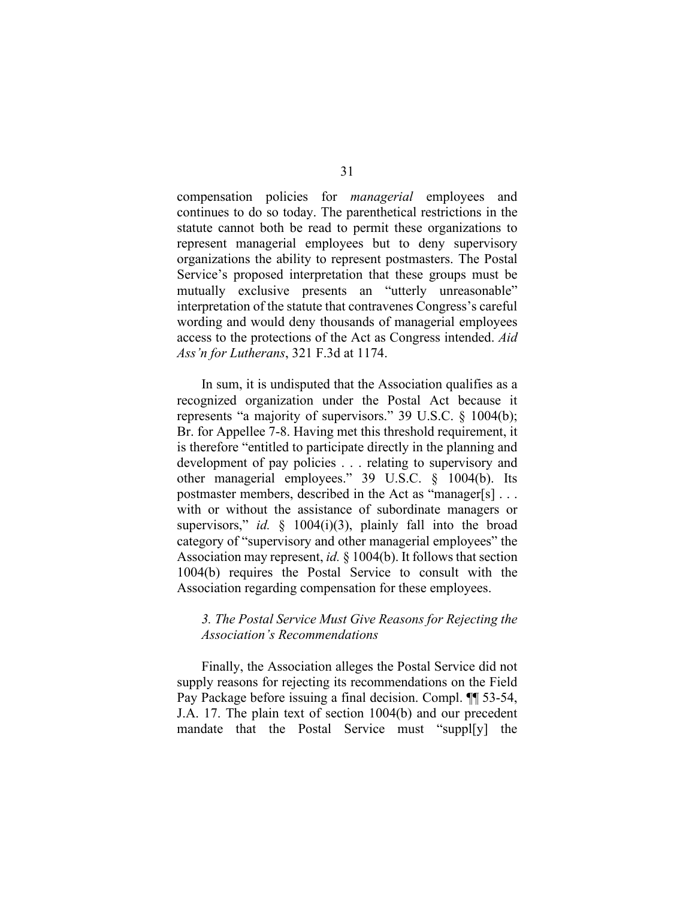compensation policies for *managerial* employees and continues to do so today. The parenthetical restrictions in the statute cannot both be read to permit these organizations to represent managerial employees but to deny supervisory organizations the ability to represent postmasters. The Postal Service's proposed interpretation that these groups must be mutually exclusive presents an "utterly unreasonable" interpretation of the statute that contravenes Congress's careful wording and would deny thousands of managerial employees access to the protections of the Act as Congress intended. *Aid Ass'n for Lutherans*, 321 F.3d at 1174.

In sum, it is undisputed that the Association qualifies as a recognized organization under the Postal Act because it represents "a majority of supervisors." 39 U.S.C. § 1004(b); Br. for Appellee 7-8. Having met this threshold requirement, it is therefore "entitled to participate directly in the planning and development of pay policies . . . relating to supervisory and other managerial employees." 39 U.S.C. § 1004(b). Its postmaster members, described in the Act as "manager[s] . . . with or without the assistance of subordinate managers or supervisors," *id.* § 1004(i)(3), plainly fall into the broad category of "supervisory and other managerial employees" the Association may represent, *id.* § 1004(b). It follows that section 1004(b) requires the Postal Service to consult with the Association regarding compensation for these employees.

# *3. The Postal Service Must Give Reasons for Rejecting the Association's Recommendations*

Finally, the Association alleges the Postal Service did not supply reasons for rejecting its recommendations on the Field Pay Package before issuing a final decision. Compl. ¶¶ 53-54, J.A. 17. The plain text of section 1004(b) and our precedent mandate that the Postal Service must "suppl[y] the